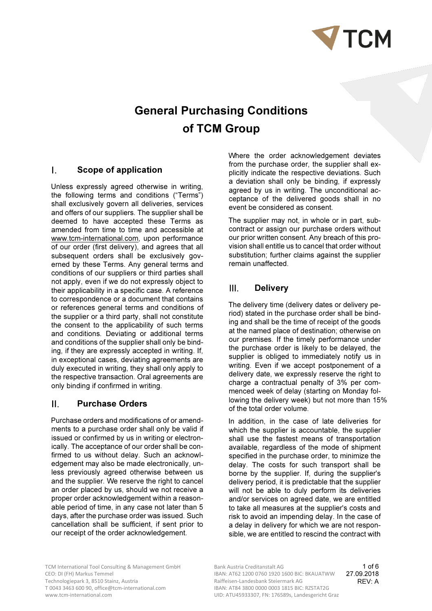

# General Purchasing Conditions of TCM Group

#### $\mathbf{L}$ Scope of application

Unless expressly agreed otherwise in writing, the following terms and conditions ("Terms") shall exclusively govern all deliveries, services and offers of our suppliers. The supplier shall be deemed to have accepted these Terms as amended from time to time and accessible at www.tcm-international.com, upon performance of our order (first delivery), and agrees that all subsequent orders shall be exclusively governed by these Terms. Any general terms and conditions of our suppliers or third parties shall not apply, even if we do not expressly object to their applicability in a specific case. A reference to correspondence or a document that contains or references general terms and conditions of the supplier or a third party, shall not constitute the consent to the applicability of such terms and conditions. Deviating or additional terms and conditions of the supplier shall only be binding, if they are expressly accepted in writing. If, in exceptional cases, deviating agreements are duly executed in writing, they shall only apply to the respective transaction. Oral agreements are only binding if confirmed in writing.

#### $\Pi$ . Purchase Orders

Purchase orders and modifications of or amendments to a purchase order shall only be valid if issued or confirmed by us in writing or electronically. The acceptance of our order shall be confirmed to us without delay. Such an acknowledgement may also be made electronically, unless previously agreed otherwise between us and the supplier. We reserve the right to cancel an order placed by us, should we not receive a proper order acknowledgement within a reasonable period of time, in any case not later than 5 days, after the purchase order was issued. Such cancellation shall be sufficient, if sent prior to our receipt of the order acknowledgement.

Where the order acknowledgement deviates from the purchase order, the supplier shall explicitly indicate the respective deviations. Such a deviation shall only be binding, if expressly agreed by us in writing. The unconditional acceptance of the delivered goods shall in no event be considered as consent.

The supplier may not, in whole or in part, subcontract or assign our purchase orders without our prior written consent. Any breach of this provision shall entitle us to cancel that order without substitution; further claims against the supplier remain unaffected.

#### $III.$ **Delivery**

The delivery time (delivery dates or delivery period) stated in the purchase order shall be binding and shall be the time of receipt of the goods at the named place of destination; otherwise on our premises. If the timely performance under the purchase order is likely to be delayed, the supplier is obliged to immediately notify us in writing. Even if we accept postponement of a delivery date, we expressly reserve the right to charge a contractual penalty of 3% per commenced week of delay (starting on Monday following the delivery week) but not more than 15% of the total order volume.

In addition, in the case of late deliveries for which the supplier is accountable, the supplier shall use the fastest means of transportation available, regardless of the mode of shipment specified in the purchase order, to minimize the delay. The costs for such transport shall be borne by the supplier. If, during the supplier's delivery period, it is predictable that the supplier will not be able to duly perform its deliveries and/or services on agreed date, we are entitled to take all measures at the supplier's costs and risk to avoid an impending delay. In the case of a delay in delivery for which we are not responsible, we are entitled to rescind the contract with

TCM International Tool Consulting & Management GmbH Bank Austria Creditanstalt AG Technologiepark 3, 8510 Stainz, Austria T 0043 3463 600 90, office@tcm-international.com IBAN: AT84 3800 0000 0003 1815 BIC: RZSTAT2G<br>ILID: ATLIAS933307 EN: 176589s Landesgericht G

CEO: DI (FH) Markus Temmel **IBAN: AT62 1200 0760 1920 1600 BIC: BKAUATWW** 27.09.2018 UID: ATU45933307, FN: 176589s, Landesgericht Graz 1 of 6 Raiffeisen-Landesbank Steiermark AG REV: A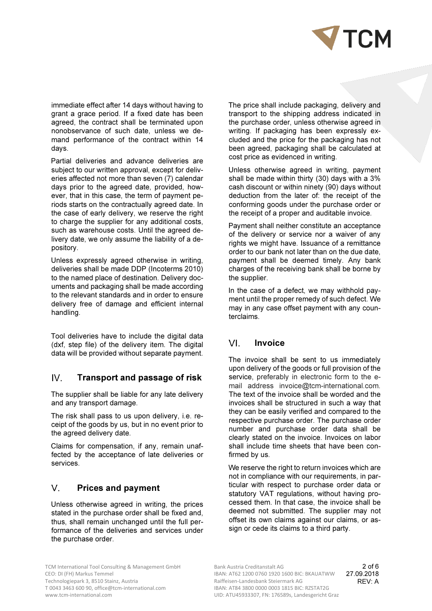

immediate effect after 14 days without having to grant a grace period. If a fixed date has been agreed, the contract shall be terminated upon nonobservance of such date, unless we demand performance of the contract within 14 days.

Partial deliveries and advance deliveries are subject to our written approval, except for deliveries affected not more than seven (7) calendar days prior to the agreed date, provided, however, that in this case, the term of payment periods starts on the contractually agreed date. In the case of early delivery, we reserve the right to charge the supplier for any additional costs, such as warehouse costs. Until the agreed delivery date, we only assume the liability of a depository.

Unless expressly agreed otherwise in writing, deliveries shall be made DDP (Incoterms 2010) to the named place of destination. Delivery documents and packaging shall be made according to the relevant standards and in order to ensure delivery free of damage and efficient internal handling.

Tool deliveries have to include the digital data (dxf, step file) of the delivery item. The digital data will be provided without separate payment.

#### $IV.$ Transport and passage of risk

The supplier shall be liable for any late delivery and any transport damage.

The risk shall pass to us upon delivery, i.e. receipt of the goods by us, but in no event prior to the agreed delivery date.

Claims for compensation, if any, remain unaffected by the acceptance of late deliveries or services.

#### $V_{\perp}$ Prices and payment

Unless otherwise agreed in writing, the prices stated in the purchase order shall be fixed and, thus, shall remain unchanged until the full performance of the deliveries and services under the purchase order.

The price shall include packaging, delivery and transport to the shipping address indicated in the purchase order, unless otherwise agreed in writing. If packaging has been expressly excluded and the price for the packaging has not been agreed, packaging shall be calculated at cost price as evidenced in writing.

Unless otherwise agreed in writing, payment shall be made within thirty (30) days with a 3% cash discount or within ninety (90) days without deduction from the later of: the receipt of the conforming goods under the purchase order or the receipt of a proper and auditable invoice.

Payment shall neither constitute an acceptance of the delivery or service nor a waiver of any rights we might have. Issuance of a remittance order to our bank not later than on the due date, payment shall be deemed timely. Any bank charges of the receiving bank shall be borne by the supplier.

In the case of a defect, we may withhold payment until the proper remedy of such defect. We may in any case offset payment with any counterclaims.

## VL Invoice

The invoice shall be sent to us immediately upon delivery of the goods or full provision of the service, preferably in electronic form to the email address invoice@tcm-international.com. The text of the invoice shall be worded and the invoices shall be structured in such a way that they can be easily verified and compared to the respective purchase order. The purchase order number and purchase order data shall be clearly stated on the invoice. Invoices on labor shall include time sheets that have been confirmed by us.

We reserve the right to return invoices which are not in compliance with our requirements, in particular with respect to purchase order data or statutory VAT regulations, without having processed them. In that case, the invoice shall be deemed not submitted. The supplier may not offset its own claims against our claims, or assign or cede its claims to a third party.

TCM International Tool Consulting & Management GmbH Bank Austria Creditanstalt AG Technologiepark 3, 8510 Stainz, Austria and Exemple 2014 Raiffeisen-Landesbank Steiermark AG<br>T 0043 3463 600 90, office@tcm-international.com (Rand Raiffeisen-Landesbank Steiermark AG T 0043 3463 600 90, office@tcm-international.com<br>www.tcm-international.com

CEO: DI (FH) Markus Temmel **IBAN: AT62 1200 0760 1920 1600 BIC: BKAUATWW** 27.09.2018 UID: ATU45933307, FN: 176589s, Landesgericht Graz 2 of 6 Raiffeisen-Landesbank Steiermark AG **REV: A**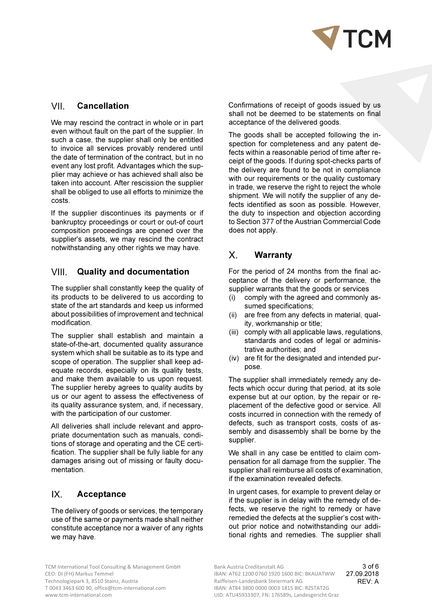

#### VII. Cancellation

We may rescind the contract in whole or in part even without fault on the part of the supplier. In such a case, the supplier shall only be entitled to invoice all services provably rendered until the date of termination of the contract, but in no event any lost profit. Advantages which the supplier may achieve or has achieved shall also be taken into account. After rescission the supplier shall be obliged to use all efforts to minimize the costs.

If the supplier discontinues its payments or if bankruptcy proceedings or court or out-of court composition proceedings are opened over the supplier's assets, we may rescind the contract notwithstanding any other rights we may have.

#### VIII. Quality and documentation

The supplier shall constantly keep the quality of its products to be delivered to us according to state of the art standards and keep us informed about possibilities of improvement and technical modification.

The supplier shall establish and maintain a state-of-the-art, documented quality assurance system which shall be suitable as to its type and scope of operation. The supplier shall keep adequate records, especially on its quality tests, and make them available to us upon request. The supplier hereby agrees to quality audits by us or our agent to assess the effectiveness of its quality assurance system, and, if necessary, with the participation of our customer.

All deliveries shall include relevant and appropriate documentation such as manuals, conditions of storage and operating and the CE certification. The supplier shall be fully liable for any damages arising out of missing or faulty documentation.

## $IX.$ Acceptance

The delivery of goods or services, the temporary use of the same or payments made shall neither constitute acceptance nor a waiver of any rights we may have.

Confirmations of receipt of goods issued by us shall not be deemed to be statements on final acceptance of the delivered goods.

The goods shall be accepted following the inspection for completeness and any patent defects within a reasonable period of time after receipt of the goods. If during spot-checks parts of the delivery are found to be not in compliance with our requirements or the quality customary in trade, we reserve the right to reject the whole shipment. We will notify the supplier of any defects identified as soon as possible. However, the duty to inspection and objection according to Section 377 of the Austrian Commercial Code does not apply.

## $\mathsf{X}^-$ Warranty

For the period of 24 months from the final acceptance of the delivery or performance, the supplier warrants that the goods or services

- (i) comply with the agreed and commonly assumed specifications;
- (ii) are free from any defects in material, quality, workmanship or title;
- (iii) comply with all applicable laws, regulations, standards and codes of legal or administrative authorities; and
- (iv) are fit for the designated and intended purpose.

The supplier shall immediately remedy any defects which occur during that period, at its sole expense but at our option, by the repair or replacement of the defective good or service. All costs incurred in connection with the remedy of defects, such as transport costs, costs of assembly and disassembly shall be borne by the supplier.

We shall in any case be entitled to claim compensation for all damage from the supplier. The supplier shall reimburse all costs of examination, if the examination revealed defects.

In urgent cases, for example to prevent delay or if the supplier is in delay with the remedy of defects, we reserve the right to remedy or have remedied the defects at the supplier's cost without prior notice and notwithstanding our additional rights and remedies. The supplier shall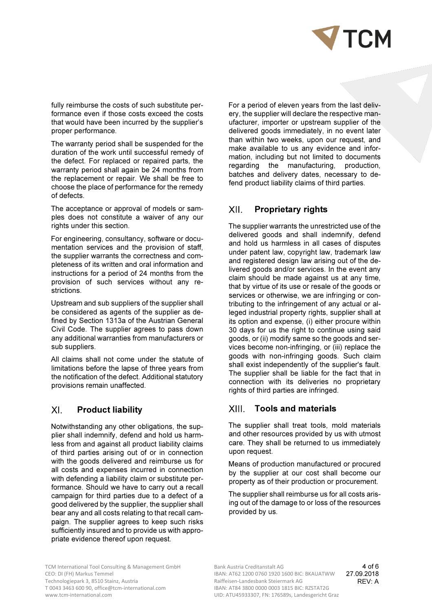

fully reimburse the costs of such substitute performance even if those costs exceed the costs that would have been incurred by the supplier's proper performance.

The warranty period shall be suspended for the duration of the work until successful remedy of the defect. For replaced or repaired parts, the warranty period shall again be 24 months from the replacement or repair. We shall be free to choose the place of performance for the remedy of defects.

The acceptance or approval of models or samples does not constitute a waiver of any our rights under this section.

For engineering, consultancy, software or documentation services and the provision of staff, the supplier warrants the correctness and completeness of its written and oral information and instructions for a period of 24 months from the provision of such services without any restrictions.

Upstream and sub suppliers of the supplier shall be considered as agents of the supplier as defined by Section 1313a of the Austrian General Civil Code. The supplier agrees to pass down any additional warranties from manufacturers or sub suppliers.

All claims shall not come under the statute of limitations before the lapse of three years from the notification of the defect. Additional statutory provisions remain unaffected.

#### $X<sub>l</sub>$ Product liability

Notwithstanding any other obligations, the supplier shall indemnify, defend and hold us harmless from and against all product liability claims of third parties arising out of or in connection with the goods delivered and reimburse us for all costs and expenses incurred in connection with defending a liability claim or substitute performance. Should we have to carry out a recall campaign for third parties due to a defect of a good delivered by the supplier, the supplier shall bear any and all costs relating to that recall campaign. The supplier agrees to keep such risks sufficiently insured and to provide us with appropriate evidence thereof upon request.

For a period of eleven years from the last delivery, the supplier will declare the respective manufacturer, importer or upstream supplier of the delivered goods immediately, in no event later than within two weeks, upon our request, and make available to us any evidence and information, including but not limited to documents regarding the manufacturing, production, batches and delivery dates, necessary to defend product liability claims of third parties.

## XII. Proprietary rights

The supplier warrants the unrestricted use of the delivered goods and shall indemnify, defend and hold us harmless in all cases of disputes under patent law, copyright law, trademark law and registered design law arising out of the delivered goods and/or services. In the event any claim should be made against us at any time, that by virtue of its use or resale of the goods or services or otherwise, we are infringing or contributing to the infringement of any actual or alleged industrial property rights, supplier shall at its option and expense, (i) either procure within 30 days for us the right to continue using said goods, or (ii) modify same so the goods and services become non-infringing, or (iii) replace the goods with non-infringing goods. Such claim shall exist independently of the supplier's fault. The supplier shall be liable for the fact that in connection with its deliveries no proprietary rights of third parties are infringed.

#### XIII. Tools and materials

The supplier shall treat tools, mold materials and other resources provided by us with utmost care. They shall be returned to us immediately upon request.

Means of production manufactured or procured by the supplier at our cost shall become our property as of their production or procurement.

The supplier shall reimburse us for all costs arising out of the damage to or loss of the resources provided by us.

TCM International Tool Consulting & Management GmbH Bank Austria Creditanstalt AG CEO: DI (FH) Markus Temmel **IBAN: AT62 1200 0760 1920 1600 BIC: BKAUATWW** 27.09.2018 Technologiepark 3, 8510 Stainz, Austria T 0043 3463 600 90, office@tcm-international.com IBAN: AT84 3800 0000 0003 1815 BIC: RZSTAT2G<br>ILID: ATLIAS933307 EN: 176589s Landesgericht G

UID: ATU45933307, FN: 176589s, Landesgericht Graz Raiffeisen-Landesbank Steiermark AG REV: A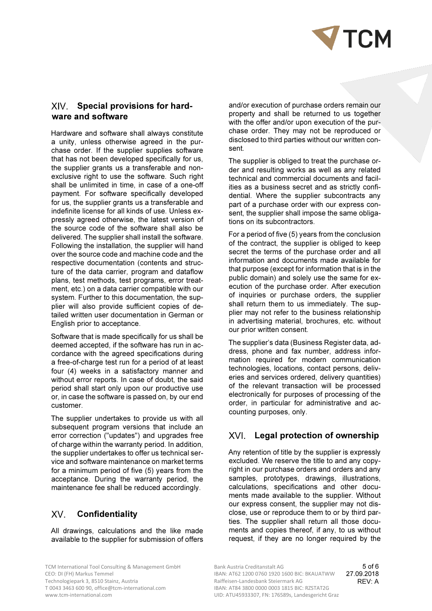

# XIV. Special provisions for hardware and software

Hardware and software shall always constitute a unity, unless otherwise agreed in the purchase order. If the supplier supplies software that has not been developed specifically for us, the supplier grants us a transferable and nonexclusive right to use the software. Such right shall be unlimited in time, in case of a one-off payment. For software specifically developed for us, the supplier grants us a transferable and indefinite license for all kinds of use. Unless expressly agreed otherwise, the latest version of the source code of the software shall also be delivered. The supplier shall install the software. Following the installation, the supplier will hand over the source code and machine code and the respective documentation (contents and structure of the data carrier, program and dataflow plans, test methods, test programs, error treatment, etc.) on a data carrier compatible with our system. Further to this documentation, the supplier will also provide sufficient copies of detailed written user documentation in German or English prior to acceptance.

Software that is made specifically for us shall be deemed accepted, if the software has run in accordance with the agreed specifications during a free-of-charge test run for a period of at least four (4) weeks in a satisfactory manner and without error reports. In case of doubt, the said period shall start only upon our productive use or, in case the software is passed on, by our end customer.

The supplier undertakes to provide us with all subsequent program versions that include an error correction ("updates") and upgrades free of charge within the warranty period. In addition, the supplier undertakes to offer us technical service and software maintenance on market terms for a minimum period of five (5) years from the acceptance. During the warranty period, the maintenance fee shall be reduced accordingly.

## **XV** Confidentiality

All drawings, calculations and the like made available to the supplier for submission of offers

and/or execution of purchase orders remain our property and shall be returned to us together with the offer and/or upon execution of the purchase order. They may not be reproduced or disclosed to third parties without our written consent.

The supplier is obliged to treat the purchase order and resulting works as well as any related technical and commercial documents and facilities as a business secret and as strictly confidential. Where the supplier subcontracts any part of a purchase order with our express consent, the supplier shall impose the same obligations on its subcontractors.

For a period of five (5) years from the conclusion of the contract, the supplier is obliged to keep secret the terms of the purchase order and all information and documents made available for that purpose (except for information that is in the public domain) and solely use the same for execution of the purchase order. After execution of inquiries or purchase orders, the supplier shall return them to us immediately. The supplier may not refer to the business relationship in advertising material, brochures, etc. without our prior written consent.

The supplier's data (Business Register data, address, phone and fax number, address information required for modern communication technologies, locations, contact persons, deliveries and services ordered, delivery quantities) of the relevant transaction will be processed electronically for purposes of processing of the order, in particular for administrative and accounting purposes, only.

# XVI. Legal protection of ownership

Any retention of title by the supplier is expressly excluded. We reserve the title to and any copyright in our purchase orders and orders and any samples, prototypes, drawings, illustrations, calculations, specifications and other documents made available to the supplier. Without our express consent, the supplier may not disclose, use or reproduce them to or by third parties. The supplier shall return all those documents and copies thereof, if any, to us without request, if they are no longer required by the

TCM International Tool Consulting & Management GmbH Bank Austria Creditanstalt AG Technologiepark 3, 8510 Stainz, Austria T 0043 3463 600 90, office@tcm-international.com IBAN: AT84 3800 0000 0003 1815 BIC: RZSTAT2G

CEO: DI (FH) Markus Temmel **IBAN: AT62 1200 0760 1920 1600 BIC: BKAUATWW** 27.09.2018 UID: ATU45933307, FN: 176589s, Landesgericht Graz 5 of 6 Raiffeisen-Landesbank Steiermark AG **REV: A**